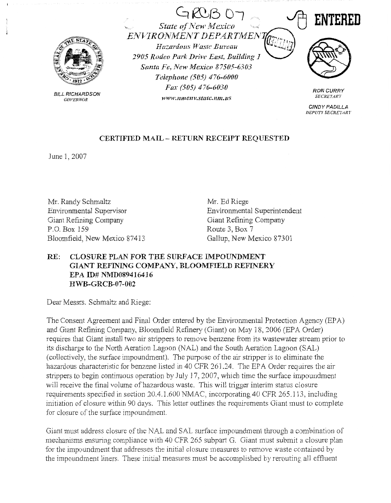

BILL RICHARDSON GOVERNOR

**State of New Mexico** EJVVIROJfMEATT *DEPARTA1E1'7*  Hazardous Waste Bureau *2905 Rodeo Park Drive East, Building 1 Santa Fe, New Mexico 87505-6303 Telephone (505) 476-6000 Fax (505) 476-6030 www.11me11v.statc.nm.us* 

 $GRB$  07



RON CURRY **SECRETARY** 

**CINDY** PADILLA DEPUTY SECRETARY

## **CERTIFIED MAIL** - **RETURN RECEIPT REQUESTED**

June 1,2007

Mr. Randy Schmaltz Environmental Supervisor Giant Refining Company P.O. Box 159 Bloomfield, New Mexico 87413 Mr. Ed Riege Enviromnental Superintendent Giant Refining Company Route 3, Box 7 Gallup, New Mexico 87301

## RE: CLOSURE PLAN FOR THE SURFACE IMPOUNDMENT GIANT REFINING COMPANY, BLOOMFIELD REFINERY **EPA ID# NMD089416416 HWB-GRCB-07-002**

Dear Messrs. Schmaltz and Riege:

The Consent Agreement and Final Order entered by the Environmental Protection Agency (EPA) and Giant Refining Company, Bloomfield Refinery (Giant) on May 18, 2006 (EPA Order) requires that Giant install two air strippers to remove benzene from its wastewater stream prior to its discharge to the North Aeration Lagoon (NAL) and the South Aeration Lagoon (SAL) (collectively, the surface impoundment). The purpose of the air stripper is to eliminate the hazardous characteristic for benzene listed in 40 CFR 261.24. The EPA Order requires the air strippers to begin continuous operation by July 17, 2007, whicb time the surface impoundment will receive the final volume of hazardous waste. This will trigger interim status closure requirements specified in section 20.4.1.600 NMAC, incorporating 40 CFR 265.113, including initiation of closure within 90 days. This letter outlines the requirements Giant must to complete for closure of the surface impoundment.

Giant must address closure of the NAL and SAL surface impoundment through a combination of mechanisms ensuring compliance with 40 CFR 265 subpart G. Giant must submit a closure plan for the impoundment that addresses the initial closure measures to remove waste contained by the impoundment liners, These initial measures must be accomplished by rerouting all effluent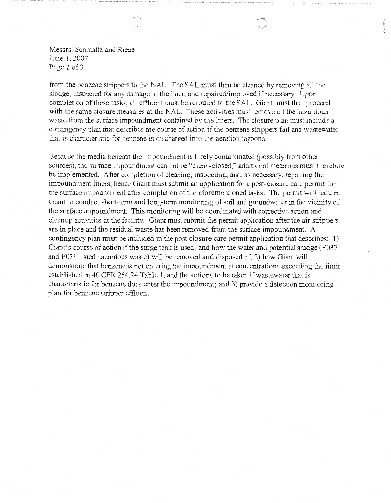Messrs. Schmaltz and Riege June 1, 2007 Page 2 of 3

an 250 v  $\frac{1}{2} \frac{1}{2} \frac{1}{2} \frac{1}{2} \frac{1}{2} \frac{1}{2}$ 

from the benzene strippers to the NAL. The SAL must then be cleaned by removing all the sludge, inspected for any damage to the liner, and repaired/improved if necessary. Upon completion of these tasks, all effluent must be rerouted to the SAL. Giant must then proceed with the same closure measures at the NAL. These activities must remove all the hazardous waste from the surface impoundment contained by the liners. The closure plan must include a contingency plan that describes the course of action if the benzene strippers fail and wastewater that is characteristic for benzene is discharged into the aeration lagoons.

Because the media beneath the impoundment is likely contaminated (possibly from other sources), the surface impoundment can not be "clean-closed," additional measures must therefore be implemented. After completion of cleaning, inspecting, and, as necessary, repairing the impoundment liners, hence Giant must submit an application for a post-closure care permit for the surface impoundrnent after completion of the aforementioned tasks. The permit will require Giant to conduct short-term and long-term monitoring of soil and groundwater in the vicinity of the surface impoundrnent. This monitoring will be coordinated with corrective action and cleanup activities at the facility. Giant must submit the permit application after the air strippers are in place and the residual waste has been removed from the surface impoundment. A contingency plan must be included in the post closure care permit application that describes: 1) Giant's course of action if the surge tank is used, and how the water and potential sludge (F037 and F038 listed hazardous waste) will be removed and disposed of; 2) how Giant will demonstrate that benzene is not entering the impoundment at concentrations exceeding the limit established in 40 CPR 264.24 Table 1, and the actions to be taken if wastewater that is characteristic for benzene does enter the impoundment; and 3) provide a detection monitoring plan for benzene stripper effluent.